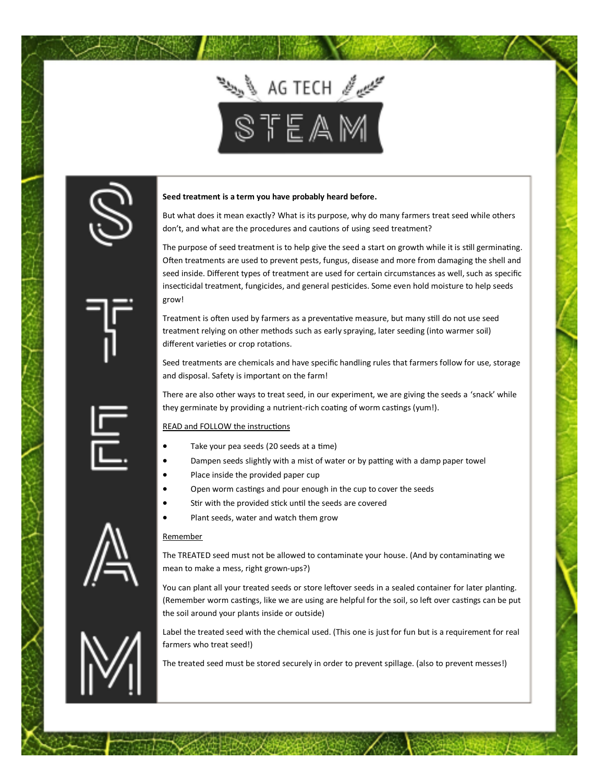

## **Seed treatment is a term you have probably heard before.**

But what does it mean exactly? What is its purpose, why do many farmers treat seed while others don't, and what are the procedures and cautions of using seed treatment?

The purpose of seed treatment is to help give the seed a start on growth while it is still germinating. Often treatments are used to prevent pests, fungus, disease and more from damaging the shell and seed inside. Different types of treatment are used for certain circumstances as well, such as specific insecticidal treatment, fungicides, and general pesticides. Some even hold moisture to help seeds grow!

Treatment is often used by farmers as a preventative measure, but many still do not use seed treatment relying on other methods such as early spraying, later seeding (into warmer soil) different varieties or crop rotations.

Seed treatments are chemicals and have specific handling rules that farmers follow for use, storage and disposal. Safety is important on the farm!

There are also other ways to treat seed, in our experiment, we are giving the seeds a 'snack' while they germinate by providing a nutrient-rich coating of worm castings (yum!).

## READ and FOLLOW the instructions

- Take your pea seeds (20 seeds at a time)
- Dampen seeds slightly with a mist of water or by patting with a damp paper towel
- Place inside the provided paper cup
- Open worm castings and pour enough in the cup to cover the seeds
- Stir with the provided stick until the seeds are covered
- Plant seeds, water and watch them grow

## Remember

The TREATED seed must not be allowed to contaminate your house. (And by contaminating we mean to make a mess, right grown-ups?)

You can plant all your treated seeds or store leftover seeds in a sealed container for later planting. (Remember worm castings, like we are using are helpful for the soil, so left over castings can be put the soil around your plants inside or outside)

Label the treated seed with the chemical used. (This one is just for fun but is a requirement for real farmers who treat seed!)

The treated seed must be stored securely in order to prevent spillage. (also to prevent messes!)